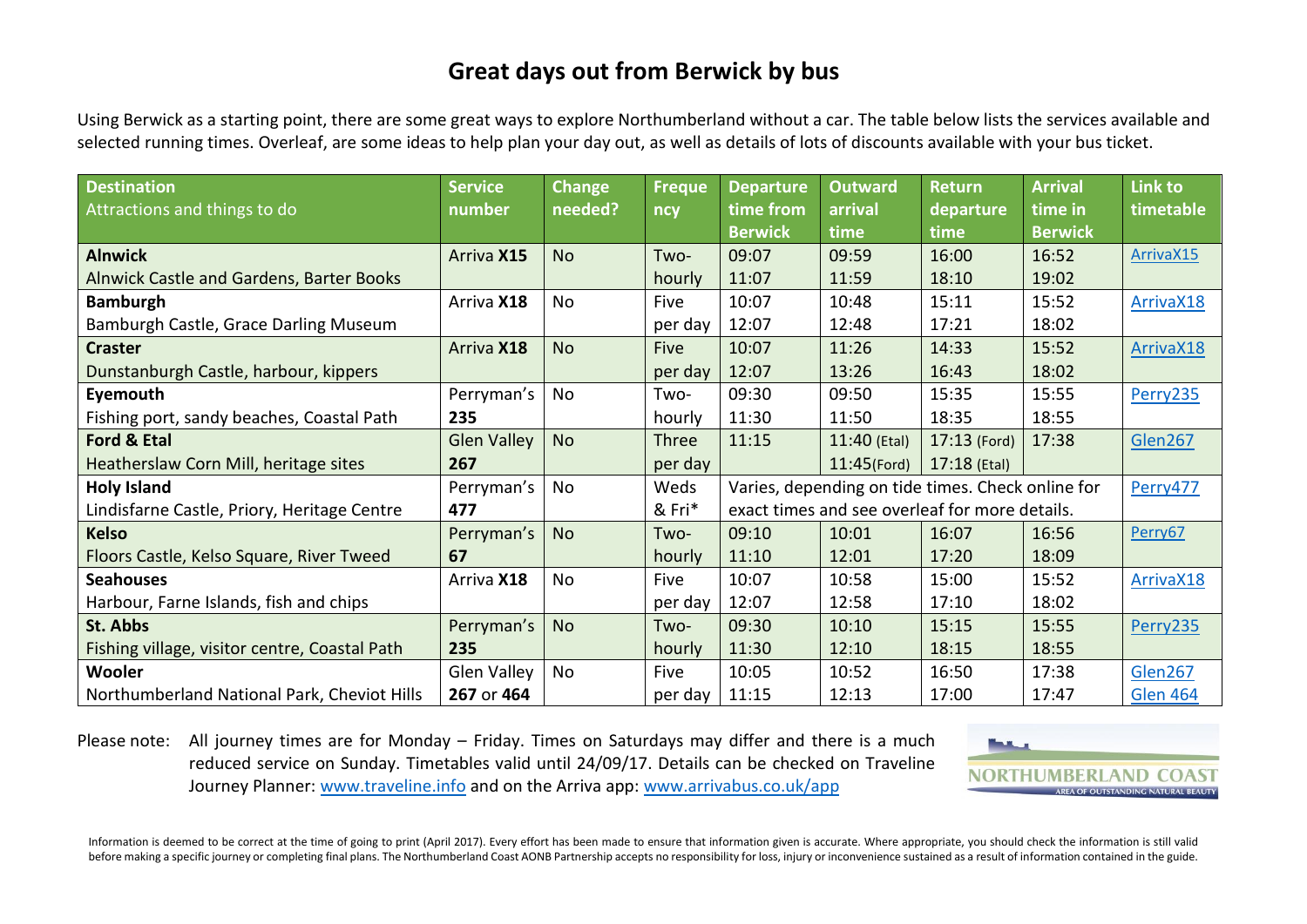# **Great days out from Berwick by bus**

Using Berwick as a starting point, there are some great ways to explore Northumberland without a car. The table below lists the services available and selected running times. Overleaf, are some ideas to help plan your day out, as well as details of lots of discounts available with your bus ticket.

| <b>Destination</b>                            | <b>Service</b>     | <b>Change</b> | <b>Freque</b> | <b>Departure</b>                                  | <b>Outward</b> | <b>Return</b>  | <b>Arrival</b> | Link to         |
|-----------------------------------------------|--------------------|---------------|---------------|---------------------------------------------------|----------------|----------------|----------------|-----------------|
| Attractions and things to do                  | number             | needed?       | ncy           | time from                                         | arrival        | departure      | time in        | timetable       |
|                                               |                    |               |               | <b>Berwick</b>                                    | time           | time           | <b>Berwick</b> |                 |
| <b>Alnwick</b>                                | Arriva X15         | <b>No</b>     | Two-          | 09:07                                             | 09:59          | 16:00          | 16:52          | ArrivaX15       |
| Alnwick Castle and Gardens, Barter Books      |                    |               | hourly        | 11:07                                             | 11:59          | 18:10          | 19:02          |                 |
| <b>Bamburgh</b>                               | Arriva X18         | No            | Five          | 10:07                                             | 10:48          | 15:11          | 15:52          | ArrivaX18       |
| Bamburgh Castle, Grace Darling Museum         |                    |               | per day       | 12:07                                             | 12:48          | 17:21          | 18:02          |                 |
| <b>Craster</b>                                | Arriva X18         | <b>No</b>     | Five          | 10:07                                             | 11:26          | 14:33          | 15:52          | ArrivaX18       |
| Dunstanburgh Castle, harbour, kippers         |                    |               | per day       | 12:07                                             | 13:26          | 16:43          | 18:02          |                 |
| Eyemouth                                      | Perryman's         | No            | Two-          | 09:30                                             | 09:50          | 15:35          | 15:55          | Perry235        |
| Fishing port, sandy beaches, Coastal Path     | 235                |               | hourly        | 11:30                                             | 11:50          | 18:35          | 18:55          |                 |
| Ford & Etal                                   | <b>Glen Valley</b> | <b>No</b>     | <b>Three</b>  | 11:15                                             | 11:40 (Etal)   | $17:13$ (Ford) | 17:38          | Glen267         |
| Heatherslaw Corn Mill, heritage sites         | 267                |               | per day       |                                                   | $11:45$ (Ford) | $17:18$ (Etal) |                |                 |
| <b>Holy Island</b>                            | Perryman's         | No            | Weds          | Varies, depending on tide times. Check online for |                |                |                | Perry477        |
| Lindisfarne Castle, Priory, Heritage Centre   | 477                |               | & Fri*        | exact times and see overleaf for more details.    |                |                |                |                 |
| <b>Kelso</b>                                  | Perryman's         | <b>No</b>     | Two-          | 09:10                                             | 10:01          | 16:07          | 16:56          | Perry67         |
| Floors Castle, Kelso Square, River Tweed      | 67                 |               | hourly        | 11:10                                             | 12:01          | 17:20          | 18:09          |                 |
| <b>Seahouses</b>                              | Arriva X18         | No            | Five          | 10:07                                             | 10:58          | 15:00          | 15:52          | ArrivaX18       |
| Harbour, Farne Islands, fish and chips        |                    |               | per day       | 12:07                                             | 12:58          | 17:10          | 18:02          |                 |
| St. Abbs                                      | Perryman's         | <b>No</b>     | Two-          | 09:30                                             | 10:10          | 15:15          | 15:55          | Perry235        |
| Fishing village, visitor centre, Coastal Path | 235                |               | hourly        | 11:30                                             | 12:10          | 18:15          | 18:55          |                 |
| <b>Wooler</b>                                 | Glen Valley        | No            | Five          | 10:05                                             | 10:52          | 16:50          | 17:38          | Glen267         |
| Northumberland National Park, Cheviot Hills   | 267 or 464         |               | per day       | 11:15                                             | 12:13          | 17:00          | 17:47          | <b>Glen 464</b> |

Please note: All journey times are for Monday – Friday. Times on Saturdays may differ and there is a much reduced service on Sunday. Timetables valid until 24/09/17. Details can be checked on Traveline Journey Planner: [www.traveline.info](http://www.traveline.info/) and on the Arriva app: [www.arrivabus.co.uk/app](https://www.arrivabus.co.uk/app)



Information is deemed to be correct at the time of going to print (April 2017). Every effort has been made to ensure that information given is accurate. Where appropriate, you should check the information is still valid before making a specific journey or completing final plans. The Northumberland Coast AONB Partnership accepts no responsibility for loss, injury or inconvenience sustained as a result of information contained in the guide.